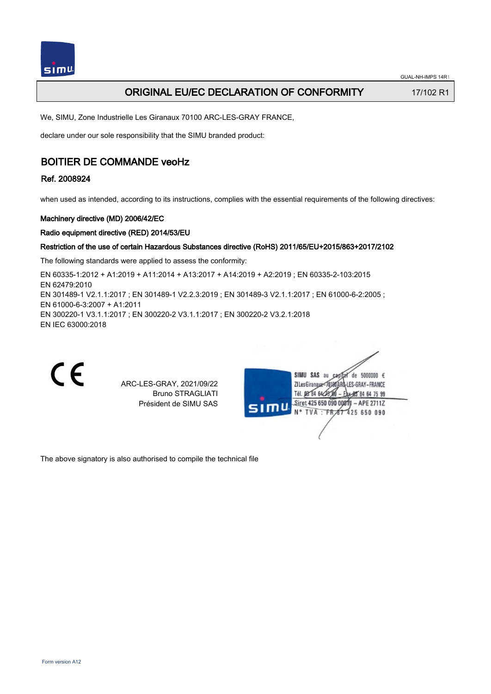# ORIGINAL EU/EC DECLARATION OF CONFORMITY 17/102 R1

We, SIMU, Zone Industrielle Les Giranaux 70100 ARC-LES-GRAY FRANCE,

declare under our sole responsibility that the SIMU branded product:

# BOITIER DE COMMANDE veoHz

## Ref. 2008924

when used as intended, according to its instructions, complies with the essential requirements of the following directives:

### Machinery directive (MD) 2006/42/EC

### Radio equipment directive (RED) 2014/53/EU

### Restriction of the use of certain Hazardous Substances directive (RoHS) 2011/65/EU+2015/863+2017/2102

The following standards were applied to assess the conformity:

EN 60335‑1:2012 + A1:2019 + A11:2014 + A13:2017 + A14:2019 + A2:2019 ; EN 60335‑2‑103:2015 EN 62479:2010 EN 301489-1 V2.1.1:2017 ; EN 301489-1 V2.2.3:2019 ; EN 301489-3 V2.1.1:2017 ; EN 61000-6-2:2005 ; EN 61000‑6‑3:2007 + A1:2011 EN 300220‑1 V3.1.1:2017 ; EN 300220‑2 V3.1.1:2017 ; EN 300220‑2 V3.2.1:2018 EN IEC 63000:2018



ARC-LES-GRAY, 2021/09/22 Bruno STRAGLIATI Président de SIMU SAS

| SIMU | SIMU<br>SAS<br>5000000 $\epsilon$<br>âu<br>de      |  |
|------|----------------------------------------------------|--|
|      | ARD-LES-GRAY – FRANCE<br>ZI Les Giranaux <td></td> |  |
|      | Tél. 08 84 64 28 8<br>Eax-85 84 64 75 99           |  |
|      | Siret 425 650 090 00811<br>$-$ APE 2711Z           |  |
|      | N° TVA : FR 67 425 650 090                         |  |
|      |                                                    |  |
|      |                                                    |  |
|      |                                                    |  |

The above signatory is also authorised to compile the technical file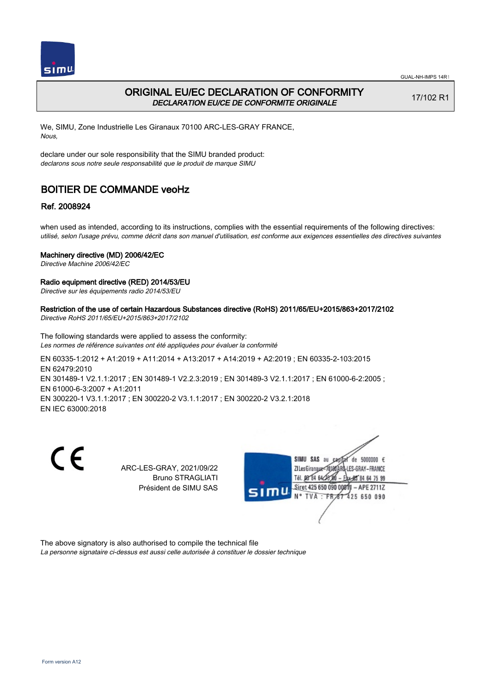

## ORIGINAL EU/EC DECLARATION OF CONFORMITY DECLARATION EU/CE DE CONFORMITE ORIGINALE

17/102 R1

We, SIMU, Zone Industrielle Les Giranaux 70100 ARC-LES-GRAY FRANCE, Nous,

declare under our sole responsibility that the SIMU branded product: declarons sous notre seule responsabilité que le produit de marque SIMU

# BOITIER DE COMMANDE veoHz

## Ref. 2008924

when used as intended, according to its instructions, complies with the essential requirements of the following directives: utilisé, selon l'usage prévu, comme décrit dans son manuel d'utilisation, est conforme aux exigences essentielles des directives suivantes

### Machinery directive (MD) 2006/42/EC

Directive Machine 2006/42/EC

### Radio equipment directive (RED) 2014/53/EU

Directive sur les équipements radio 2014/53/EU

#### Restriction of the use of certain Hazardous Substances directive (RoHS) 2011/65/EU+2015/863+2017/2102 Directive RoHS 2011/65/EU+2015/863+2017/2102

The following standards were applied to assess the conformity:

Les normes de référence suivantes ont été appliquées pour évaluer la conformité

EN 60335‑1:2012 + A1:2019 + A11:2014 + A13:2017 + A14:2019 + A2:2019 ; EN 60335‑2‑103:2015 EN 62479:2010 EN 301489-1 V2.1.1:2017 ; EN 301489-1 V2.2.3:2019 ; EN 301489-3 V2.1.1:2017 ; EN 61000-6-2:2005 ; EN 61000‑6‑3:2007 + A1:2011 EN 300220‑1 V3.1.1:2017 ; EN 300220‑2 V3.1.1:2017 ; EN 300220‑2 V3.2.1:2018 EN IEC 63000:2018

C E

ARC-LES-GRAY, 2021/09/22 Bruno STRAGLIATI Président de SIMU SAS



The above signatory is also authorised to compile the technical file La personne signataire ci-dessus est aussi celle autorisée à constituer le dossier technique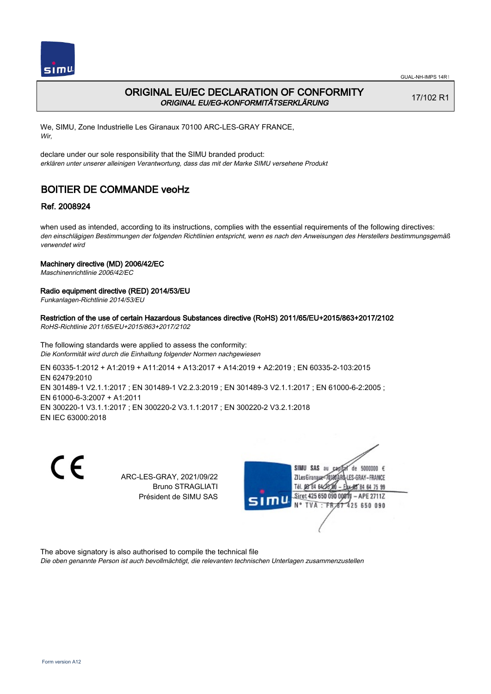

# ORIGINAL EU/EC DECLARATION OF CONFORMITY ORIGINAL EU/EG-KONFORMITÄTSERKLÄRUNG

17/102 R1

We, SIMU, Zone Industrielle Les Giranaux 70100 ARC-LES-GRAY FRANCE, Wir,

declare under our sole responsibility that the SIMU branded product: erklären unter unserer alleinigen Verantwortung, dass das mit der Marke SIMU versehene Produkt

# BOITIER DE COMMANDE veoHz

## Ref. 2008924

when used as intended, according to its instructions, complies with the essential requirements of the following directives: den einschlägigen Bestimmungen der folgenden Richtlinien entspricht, wenn es nach den Anweisungen des Herstellers bestimmungsgemäß verwendet wird

### Machinery directive (MD) 2006/42/EC

Maschinenrichtlinie 2006/42/EC

### Radio equipment directive (RED) 2014/53/EU

Funkanlagen-Richtlinie 2014/53/EU

Restriction of the use of certain Hazardous Substances directive (RoHS) 2011/65/EU+2015/863+2017/2102 RoHS-Richtlinie 2011/65/EU+2015/863+2017/2102

The following standards were applied to assess the conformity: Die Konformität wird durch die Einhaltung folgender Normen nachgewiesen

EN 60335‑1:2012 + A1:2019 + A11:2014 + A13:2017 + A14:2019 + A2:2019 ; EN 60335‑2‑103:2015 EN 62479:2010 EN 301489‑1 V2.1.1:2017 ; EN 301489‑1 V2.2.3:2019 ; EN 301489‑3 V2.1.1:2017 ; EN 61000‑6‑2:2005 ; EN 61000‑6‑3:2007 + A1:2011 EN 300220‑1 V3.1.1:2017 ; EN 300220‑2 V3.1.1:2017 ; EN 300220‑2 V3.2.1:2018 EN IEC 63000:2018

 $\epsilon$ 

ARC-LES-GRAY, 2021/09/22 Bruno STRAGLIATI Président de SIMU SAS



The above signatory is also authorised to compile the technical file

Die oben genannte Person ist auch bevollmächtigt, die relevanten technischen Unterlagen zusammenzustellen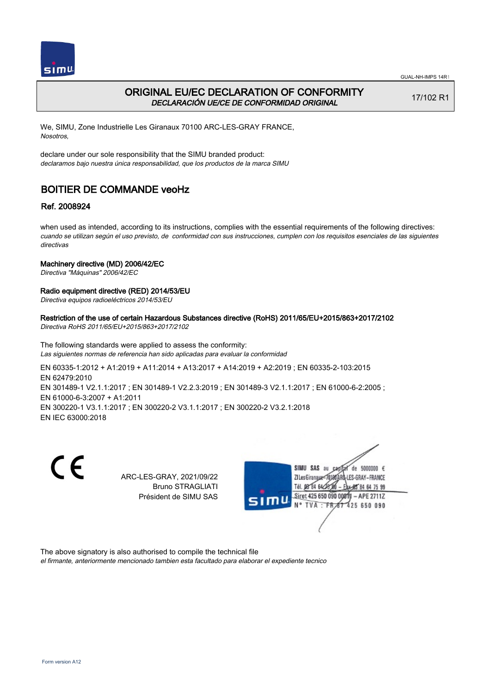



# ORIGINAL EU/EC DECLARATION OF CONFORMITY DECLARACIÓN UE/CE DE CONFORMIDAD ORIGINAL

17/102 R1

We, SIMU, Zone Industrielle Les Giranaux 70100 ARC-LES-GRAY FRANCE, Nosotros,

declare under our sole responsibility that the SIMU branded product: declaramos bajo nuestra única responsabilidad, que los productos de la marca SIMU

# BOITIER DE COMMANDE veoHz

## Ref. 2008924

when used as intended, according to its instructions, complies with the essential requirements of the following directives: cuando se utilizan según el uso previsto, de conformidad con sus instrucciones, cumplen con los requisitos esenciales de las siguientes directivas

### Machinery directive (MD) 2006/42/EC

Directiva "Máquinas" 2006/42/EC

### Radio equipment directive (RED) 2014/53/EU

Directiva equipos radioeléctricos 2014/53/EU

#### Restriction of the use of certain Hazardous Substances directive (RoHS) 2011/65/EU+2015/863+2017/2102 Directiva RoHS 2011/65/EU+2015/863+2017/2102

The following standards were applied to assess the conformity: Las siguientes normas de referencia han sido aplicadas para evaluar la conformidad

EN 60335‑1:2012 + A1:2019 + A11:2014 + A13:2017 + A14:2019 + A2:2019 ; EN 60335‑2‑103:2015 EN 62479:2010 EN 301489‑1 V2.1.1:2017 ; EN 301489‑1 V2.2.3:2019 ; EN 301489‑3 V2.1.1:2017 ; EN 61000‑6‑2:2005 ; EN 61000‑6‑3:2007 + A1:2011 EN 300220‑1 V3.1.1:2017 ; EN 300220‑2 V3.1.1:2017 ; EN 300220‑2 V3.2.1:2018 EN IEC 63000:2018

 $\epsilon$ 

ARC-LES-GRAY, 2021/09/22 Bruno STRAGLIATI Président de SIMU SAS



The above signatory is also authorised to compile the technical file

el firmante, anteriormente mencionado tambien esta facultado para elaborar el expediente tecnico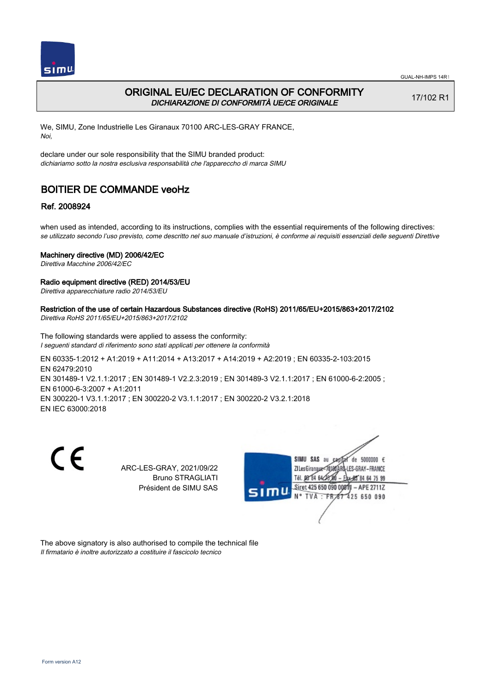

# ORIGINAL EU/EC DECLARATION OF CONFORMITY DICHIARAZIONE DI CONFORMITÀ UE/CE ORIGINALE

17/102 R1

We, SIMU, Zone Industrielle Les Giranaux 70100 ARC-LES-GRAY FRANCE, Noi,

declare under our sole responsibility that the SIMU branded product: dichiariamo sotto la nostra esclusiva responsabilità che l'appareccho di marca SIMU

# BOITIER DE COMMANDE veoHz

## Ref. 2008924

when used as intended, according to its instructions, complies with the essential requirements of the following directives: se utilizzato secondo l'uso previsto, come descritto nel suo manuale d'istruzioni, è conforme ai requisiti essenziali delle seguenti Direttive

### Machinery directive (MD) 2006/42/EC

Direttiva Macchine 2006/42/EC

### Radio equipment directive (RED) 2014/53/EU

Direttiva apparecchiature radio 2014/53/EU

Restriction of the use of certain Hazardous Substances directive (RoHS) 2011/65/EU+2015/863+2017/2102 Direttiva RoHS 2011/65/EU+2015/863+2017/2102

The following standards were applied to assess the conformity: I seguenti standard di riferimento sono stati applicati per ottenere la conformità

EN 60335‑1:2012 + A1:2019 + A11:2014 + A13:2017 + A14:2019 + A2:2019 ; EN 60335‑2‑103:2015 EN 62479:2010 EN 301489-1 V2.1.1:2017 ; EN 301489-1 V2.2.3:2019 ; EN 301489-3 V2.1.1:2017 ; EN 61000-6-2:2005 ; EN 61000‑6‑3:2007 + A1:2011 EN 300220‑1 V3.1.1:2017 ; EN 300220‑2 V3.1.1:2017 ; EN 300220‑2 V3.2.1:2018 EN IEC 63000:2018

C E

ARC-LES-GRAY, 2021/09/22 Bruno STRAGLIATI Président de SIMU SAS



The above signatory is also authorised to compile the technical file Il firmatario è inoltre autorizzato a costituire il fascicolo tecnico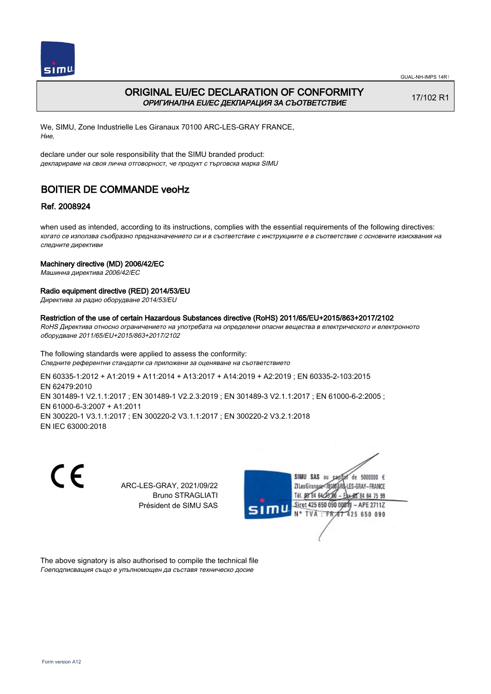

# ORIGINAL EU/EC DECLARATION OF CONFORMITY ОРИГИНАЛНА EU/EC ДЕКЛАРАЦИЯ ЗА СЪОТВЕТСТВИЕ

17/102 R1

We, SIMU, Zone Industrielle Les Giranaux 70100 ARC-LES-GRAY FRANCE, Ние,

declare under our sole responsibility that the SIMU branded product: декларираме на своя лична отговорност, че продукт с търговска марка SIMU

# BOITIER DE COMMANDE veoHz

## Ref. 2008924

when used as intended, according to its instructions, complies with the essential requirements of the following directives: когато се използва съобразно предназначението си и в съответствие с инструкциите е в съответствие с основните изисквания на следните директиви

### Machinery directive (MD) 2006/42/EC

Машинна директива 2006/42/EC

### Radio equipment directive (RED) 2014/53/EU

Директива за радио оборудване 2014/53/EU

#### Restriction of the use of certain Hazardous Substances directive (RoHS) 2011/65/EU+2015/863+2017/2102

RoHS Директива относно ограничението на употребата на определени опасни вещества в електрическото и електронното оборудване 2011/65/EU+2015/863+2017/2102

The following standards were applied to assess the conformity: Следните референтни стандарти са приложени за оценяване на съответствието

EN 60335‑1:2012 + A1:2019 + A11:2014 + A13:2017 + A14:2019 + A2:2019 ; EN 60335‑2‑103:2015 EN 62479:2010 EN 301489-1 V2.1.1:2017 ; EN 301489-1 V2.2.3:2019 ; EN 301489-3 V2.1.1:2017 ; EN 61000-6-2:2005 ; EN 61000‑6‑3:2007 + A1:2011 EN 300220‑1 V3.1.1:2017 ; EN 300220‑2 V3.1.1:2017 ; EN 300220‑2 V3.2.1:2018 EN IEC 63000:2018

C E

ARC-LES-GRAY, 2021/09/22 Bruno STRAGLIATI Président de SIMU SAS



The above signatory is also authorised to compile the technical file Гоеподписващия също е упълномощен да съставя техническо досие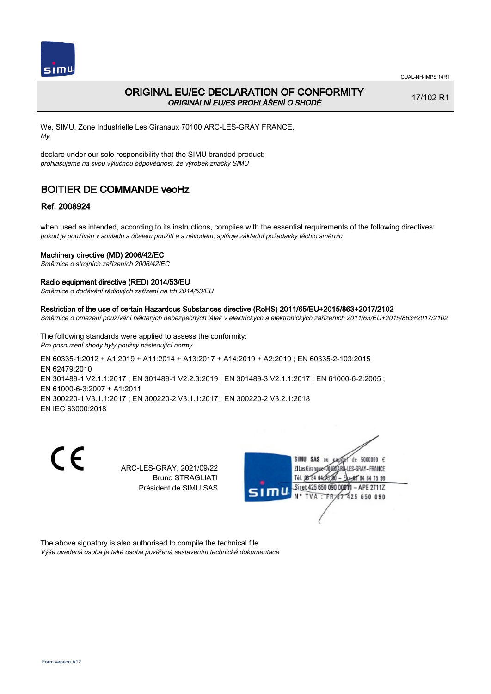

## ORIGINAL EU/EC DECLARATION OF CONFORMITY ORIGINÁLNÍ EU/ES PROHLÁŠENÍ O SHODĚ

17/102 R1

We, SIMU, Zone Industrielle Les Giranaux 70100 ARC-LES-GRAY FRANCE, My,

declare under our sole responsibility that the SIMU branded product: prohlašujeme na svou výlučnou odpovědnost, že výrobek značky SIMU

# BOITIER DE COMMANDE veoHz

## Ref. 2008924

when used as intended, according to its instructions, complies with the essential requirements of the following directives: pokud je používán v souladu s účelem použití a s návodem, splňuje základní požadavky těchto směrnic

### Machinery directive (MD) 2006/42/EC

Směrnice o strojních zařízeních 2006/42/EC

#### Radio equipment directive (RED) 2014/53/EU

Směrnice o dodávání rádiových zařízení na trh 2014/53/EU

#### Restriction of the use of certain Hazardous Substances directive (RoHS) 2011/65/EU+2015/863+2017/2102

Směrnice o omezení používání některých nebezpečných látek v elektrických a elektronických zařízeních 2011/65/EU+2015/863+2017/2102

The following standards were applied to assess the conformity: Pro posouzení shody byly použity následující normy

EN 60335‑1:2012 + A1:2019 + A11:2014 + A13:2017 + A14:2019 + A2:2019 ; EN 60335‑2‑103:2015 EN 62479:2010 EN 301489-1 V2.1.1:2017 ; EN 301489-1 V2.2.3:2019 ; EN 301489-3 V2.1.1:2017 ; EN 61000-6-2:2005 ; EN 61000‑6‑3:2007 + A1:2011 EN 300220‑1 V3.1.1:2017 ; EN 300220‑2 V3.1.1:2017 ; EN 300220‑2 V3.2.1:2018 EN IEC 63000:2018

C E

ARC-LES-GRAY, 2021/09/22 Bruno STRAGLIATI Président de SIMU SAS



The above signatory is also authorised to compile the technical file Výše uvedená osoba je také osoba pověřená sestavením technické dokumentace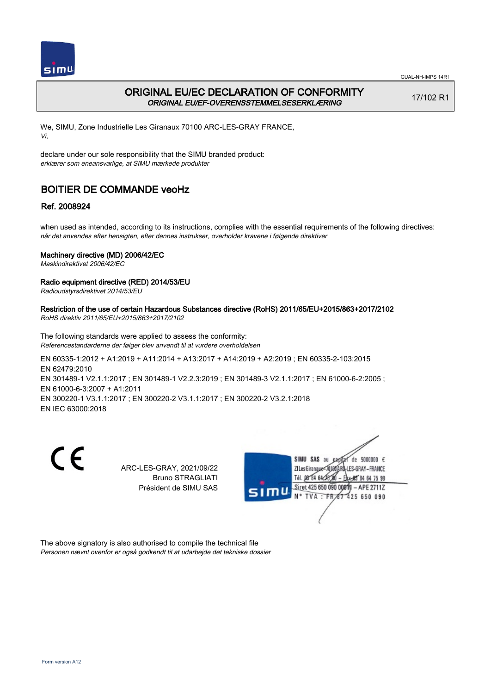



# ORIGINAL EU/EC DECLARATION OF CONFORMITY ORIGINAL EU/EF-OVERENSSTEMMELSESERKLÆRING

17/102 R1

We, SIMU, Zone Industrielle Les Giranaux 70100 ARC-LES-GRAY FRANCE, Vi,

declare under our sole responsibility that the SIMU branded product: erklærer som eneansvarlige, at SIMU mærkede produkter

# BOITIER DE COMMANDE veoHz

## Ref. 2008924

when used as intended, according to its instructions, complies with the essential requirements of the following directives: når det anvendes efter hensigten, efter dennes instrukser, overholder kravene i følgende direktiver

### Machinery directive (MD) 2006/42/EC

Maskindirektivet 2006/42/EC

### Radio equipment directive (RED) 2014/53/EU

Radioudstyrsdirektivet 2014/53/EU

#### Restriction of the use of certain Hazardous Substances directive (RoHS) 2011/65/EU+2015/863+2017/2102 RoHS direktiv 2011/65/EU+2015/863+2017/2102

The following standards were applied to assess the conformity: Referencestandarderne der følger blev anvendt til at vurdere overholdelsen

EN 60335‑1:2012 + A1:2019 + A11:2014 + A13:2017 + A14:2019 + A2:2019 ; EN 60335‑2‑103:2015 EN 62479:2010 EN 301489-1 V2.1.1:2017 ; EN 301489-1 V2.2.3:2019 ; EN 301489-3 V2.1.1:2017 ; EN 61000-6-2:2005 ; EN 61000‑6‑3:2007 + A1:2011 EN 300220‑1 V3.1.1:2017 ; EN 300220‑2 V3.1.1:2017 ; EN 300220‑2 V3.2.1:2018 EN IEC 63000:2018

C E

ARC-LES-GRAY, 2021/09/22 Bruno STRAGLIATI Président de SIMU SAS



The above signatory is also authorised to compile the technical file Personen nævnt ovenfor er også godkendt til at udarbejde det tekniske dossier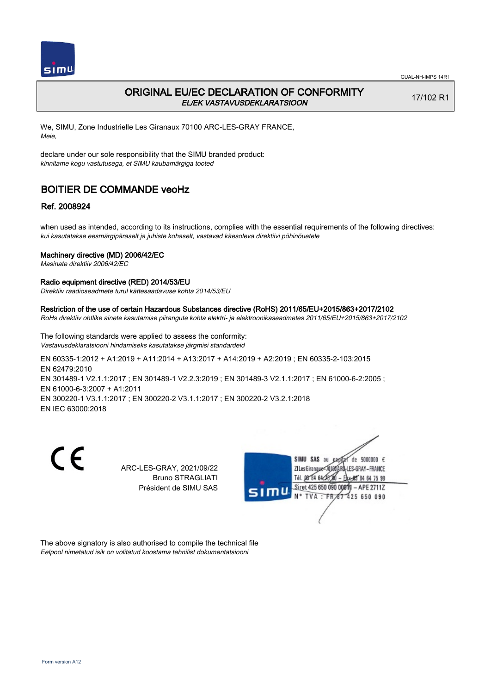

## ORIGINAL EU/EC DECLARATION OF CONFORMITY EL/EK VASTAVUSDEKLARATSIOON

17/102 R1

We, SIMU, Zone Industrielle Les Giranaux 70100 ARC-LES-GRAY FRANCE, Meie,

declare under our sole responsibility that the SIMU branded product: kinnitame kogu vastutusega, et SIMU kaubamärgiga tooted

# BOITIER DE COMMANDE veoHz

## Ref. 2008924

when used as intended, according to its instructions, complies with the essential requirements of the following directives: kui kasutatakse eesmärgipäraselt ja juhiste kohaselt, vastavad käesoleva direktiivi põhinõuetele

### Machinery directive (MD) 2006/42/EC

Masinate direktiiv 2006/42/EC

#### Radio equipment directive (RED) 2014/53/EU

Direktiiv raadioseadmete turul kättesaadavuse kohta 2014/53/EU

#### Restriction of the use of certain Hazardous Substances directive (RoHS) 2011/65/EU+2015/863+2017/2102

RoHs direktiiv ohtlike ainete kasutamise piirangute kohta elektri- ja elektroonikaseadmetes 2011/65/EU+2015/863+2017/2102

The following standards were applied to assess the conformity: Vastavusdeklaratsiooni hindamiseks kasutatakse järgmisi standardeid

EN 60335‑1:2012 + A1:2019 + A11:2014 + A13:2017 + A14:2019 + A2:2019 ; EN 60335‑2‑103:2015 EN 62479:2010 EN 301489-1 V2.1.1:2017 ; EN 301489-1 V2.2.3:2019 ; EN 301489-3 V2.1.1:2017 ; EN 61000-6-2:2005 ; EN 61000‑6‑3:2007 + A1:2011 EN 300220‑1 V3.1.1:2017 ; EN 300220‑2 V3.1.1:2017 ; EN 300220‑2 V3.2.1:2018 EN IEC 63000:2018

C E

ARC-LES-GRAY, 2021/09/22 Bruno STRAGLIATI Président de SIMU SAS



The above signatory is also authorised to compile the technical file Eelpool nimetatud isik on volitatud koostama tehnilist dokumentatsiooni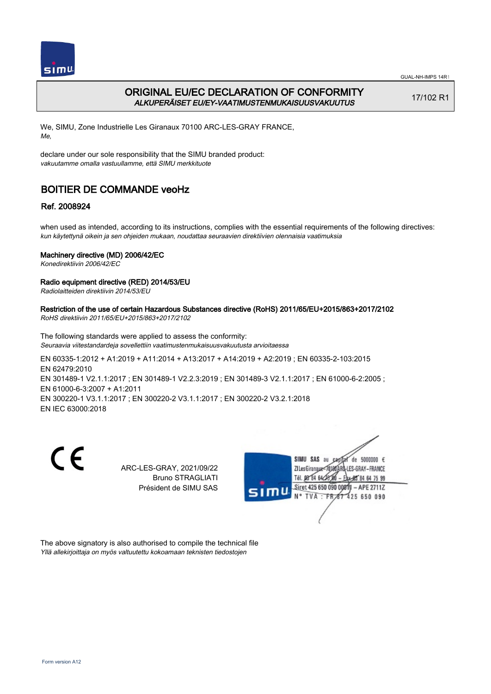

GUAL-NH-IMPS 14R1

# ORIGINAL EU/EC DECLARATION OF CONFORMITY ALKUPERÄISET EU/EY-VAATIMUSTENMUKAISUUSVAKUUTUS

17/102 R1

We, SIMU, Zone Industrielle Les Giranaux 70100 ARC-LES-GRAY FRANCE, Me,

declare under our sole responsibility that the SIMU branded product: vakuutamme omalla vastuullamme, että SIMU merkkituote

# BOITIER DE COMMANDE veoHz

## Ref. 2008924

when used as intended, according to its instructions, complies with the essential requirements of the following directives: kun käytettynä oikein ja sen ohjeiden mukaan, noudattaa seuraavien direktiivien olennaisia vaatimuksia

## Machinery directive (MD) 2006/42/EC

Konedirektiivin 2006/42/EC

## Radio equipment directive (RED) 2014/53/EU

Radiolaitteiden direktiivin 2014/53/EU

#### Restriction of the use of certain Hazardous Substances directive (RoHS) 2011/65/EU+2015/863+2017/2102 RoHS direktiivin 2011/65/EU+2015/863+2017/2102

The following standards were applied to assess the conformity: Seuraavia viitestandardeja sovellettiin vaatimustenmukaisuusvakuutusta arvioitaessa

EN 60335‑1:2012 + A1:2019 + A11:2014 + A13:2017 + A14:2019 + A2:2019 ; EN 60335‑2‑103:2015 EN 62479:2010 EN 301489-1 V2.1.1:2017 ; EN 301489-1 V2.2.3:2019 ; EN 301489-3 V2.1.1:2017 ; EN 61000-6-2:2005 ; EN 61000‑6‑3:2007 + A1:2011 EN 300220‑1 V3.1.1:2017 ; EN 300220‑2 V3.1.1:2017 ; EN 300220‑2 V3.2.1:2018 EN IEC 63000:2018

C E

ARC-LES-GRAY, 2021/09/22 Bruno STRAGLIATI Président de SIMU SAS



The above signatory is also authorised to compile the technical file Yllä allekirjoittaja on myös valtuutettu kokoamaan teknisten tiedostojen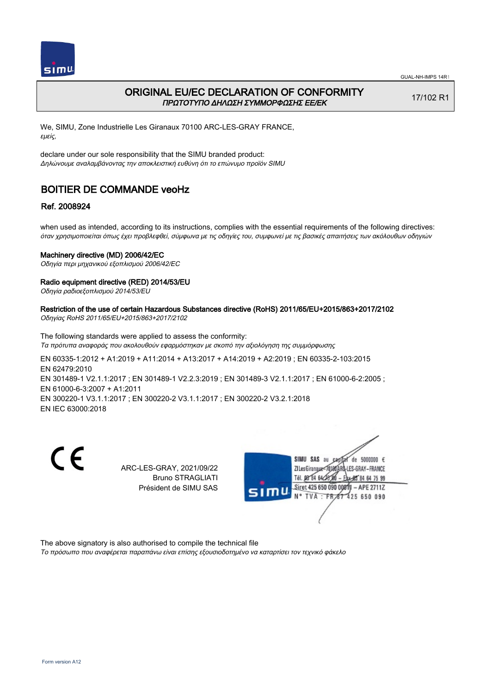

## ORIGINAL EU/EC DECLARATION OF CONFORMITY ΠΡΩΤΟΤΥΠΟ ΔΗΛΩΣΗ ΣΥΜΜΟΡΦΩΣΗΣ ΕΕ/EK

17/102 R1

We, SIMU, Zone Industrielle Les Giranaux 70100 ARC-LES-GRAY FRANCE, εμείς,

declare under our sole responsibility that the SIMU branded product: Δηλώνουμε αναλαμβάνοντας την αποκλειστική ευθύνη ότι το επώνυμο προϊόν SIMU

# BOITIER DE COMMANDE veoHz

## Ref. 2008924

when used as intended, according to its instructions, complies with the essential requirements of the following directives: όταν χρησιμοποιείται όπως έχει προβλεφθεί, σύμφωνα με τις οδηγίες του, συμφωνεί με τις βασικές απαιτήσεις των ακόλουθων οδηγιών

### Machinery directive (MD) 2006/42/EC

Οδηγία περι μηχανικού εξοπλισμού 2006/42/EC

### Radio equipment directive (RED) 2014/53/EU

Οδηγία ραδιοεξοπλισμού 2014/53/EU

#### Restriction of the use of certain Hazardous Substances directive (RoHS) 2011/65/EU+2015/863+2017/2102 Οδηγίας RoHS 2011/65/EU+2015/863+2017/2102

The following standards were applied to assess the conformity: Τα πρότυπα αναφοράς που ακολουθούν εφαρμόστηκαν με σκοπό την αξιολόγηση της συμμόρφωσης

EN 60335‑1:2012 + A1:2019 + A11:2014 + A13:2017 + A14:2019 + A2:2019 ; EN 60335‑2‑103:2015 EN 62479:2010 EN 301489-1 V2.1.1:2017 ; EN 301489-1 V2.2.3:2019 ; EN 301489-3 V2.1.1:2017 ; EN 61000-6-2:2005 ; EN 61000‑6‑3:2007 + A1:2011 EN 300220‑1 V3.1.1:2017 ; EN 300220‑2 V3.1.1:2017 ; EN 300220‑2 V3.2.1:2018

EN IEC 63000:2018

C E

ARC-LES-GRAY, 2021/09/22 Bruno STRAGLIATI Président de SIMU SAS



The above signatory is also authorised to compile the technical file

Το πρόσωπο που αναφέρεται παραπάνω είναι επίσης εξουσιοδοτημένο να καταρτίσει τον τεχνικό φάκελο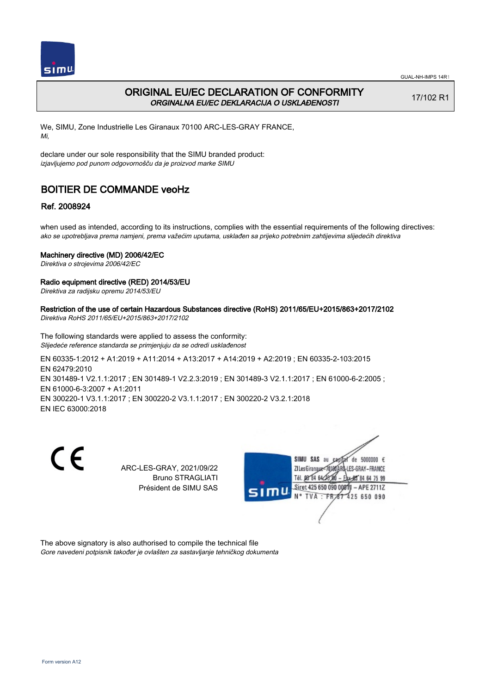

# ORIGINAL EU/EC DECLARATION OF CONFORMITY ORGINALNA EU/EC DEKLARACIJA O USKLAĐENOSTI

17/102 R1

We, SIMU, Zone Industrielle Les Giranaux 70100 ARC-LES-GRAY FRANCE, Mi,

declare under our sole responsibility that the SIMU branded product: izjavljujemo pod punom odgovornošču da je proizvod marke SIMU

# BOITIER DE COMMANDE veoHz

## Ref. 2008924

when used as intended, according to its instructions, complies with the essential requirements of the following directives: ako se upotrebljava prema namjeni, prema važećim uputama, usklađen sa prijeko potrebnim zahtijevima slijedećih direktiva

### Machinery directive (MD) 2006/42/EC

Direktiva o strojevima 2006/42/EC

### Radio equipment directive (RED) 2014/53/EU

Direktiva za radijsku opremu 2014/53/EU

Restriction of the use of certain Hazardous Substances directive (RoHS) 2011/65/EU+2015/863+2017/2102 Direktiva RoHS 2011/65/EU+2015/863+2017/2102

The following standards were applied to assess the conformity: Slijedeće reference standarda se primjenjuju da se odredi usklađenost

EN 60335‑1:2012 + A1:2019 + A11:2014 + A13:2017 + A14:2019 + A2:2019 ; EN 60335‑2‑103:2015 EN 62479:2010 EN 301489-1 V2.1.1:2017 ; EN 301489-1 V2.2.3:2019 ; EN 301489-3 V2.1.1:2017 ; EN 61000-6-2:2005 ; EN 61000‑6‑3:2007 + A1:2011 EN 300220‑1 V3.1.1:2017 ; EN 300220‑2 V3.1.1:2017 ; EN 300220‑2 V3.2.1:2018 EN IEC 63000:2018

C E

ARC-LES-GRAY, 2021/09/22 Bruno STRAGLIATI Président de SIMU SAS



The above signatory is also authorised to compile the technical file Gore navedeni potpisnik također je ovlašten za sastavljanje tehničkog dokumenta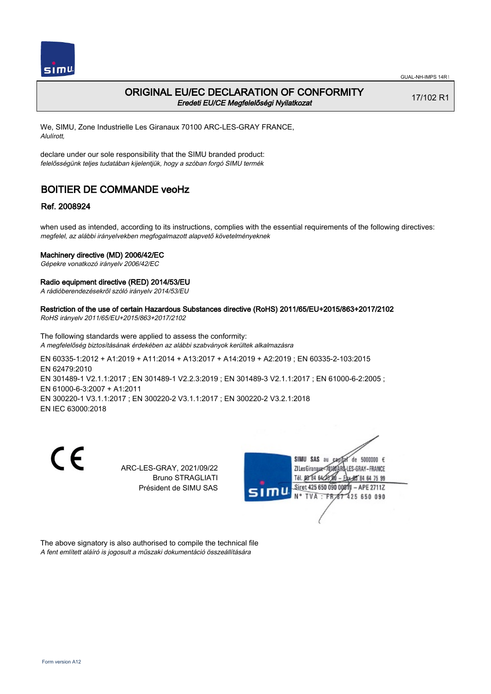

## ORIGINAL EU/EC DECLARATION OF CONFORMITY Eredeti EU/CE Megfelelőségi Nyilatkozat

17/102 R1

We, SIMU, Zone Industrielle Les Giranaux 70100 ARC-LES-GRAY FRANCE, Alulírott,

declare under our sole responsibility that the SIMU branded product: felelősségünk teljes tudatában kijelentjük, hogy a szóban forgó SIMU termék

# BOITIER DE COMMANDE veoHz

## Ref. 2008924

when used as intended, according to its instructions, complies with the essential requirements of the following directives: megfelel, az alábbi irányelvekben megfogalmazott alapvető követelményeknek

### Machinery directive (MD) 2006/42/EC

Gépekre vonatkozó irányelv 2006/42/EC

### Radio equipment directive (RED) 2014/53/EU

A rádióberendezésekről szóló irányelv 2014/53/EU

# Restriction of the use of certain Hazardous Substances directive (RoHS) 2011/65/EU+2015/863+2017/2102

RoHS irányelv 2011/65/EU+2015/863+2017/2102

The following standards were applied to assess the conformity: A megfelelőség biztosításának érdekében az alábbi szabványok kerültek alkalmazásra

EN 60335‑1:2012 + A1:2019 + A11:2014 + A13:2017 + A14:2019 + A2:2019 ; EN 60335‑2‑103:2015 EN 62479:2010 EN 301489-1 V2.1.1:2017 ; EN 301489-1 V2.2.3:2019 ; EN 301489-3 V2.1.1:2017 ; EN 61000-6-2:2005 ; EN 61000‑6‑3:2007 + A1:2011 EN 300220‑1 V3.1.1:2017 ; EN 300220‑2 V3.1.1:2017 ; EN 300220‑2 V3.2.1:2018 EN IEC 63000:2018

C E

ARC-LES-GRAY, 2021/09/22 Bruno STRAGLIATI Président de SIMU SAS



The above signatory is also authorised to compile the technical file A fent említett aláíró is jogosult a műszaki dokumentáció összeállítására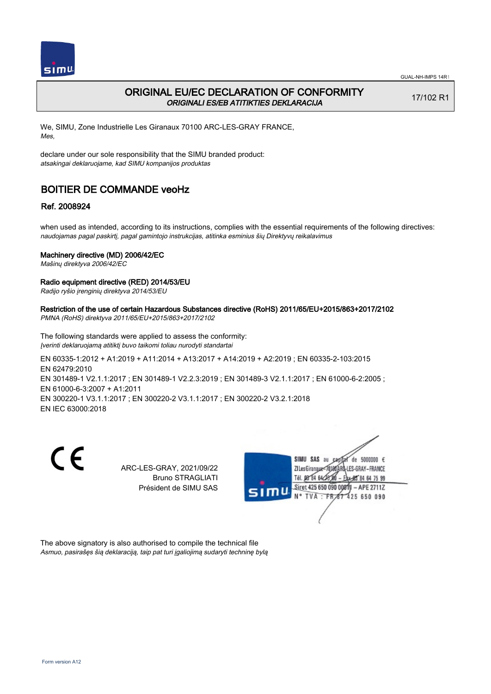

## ORIGINAL EU/EC DECLARATION OF CONFORMITY ORIGINALI ES/EB ATITIKTIES DEKLARACIJA

17/102 R1

We, SIMU, Zone Industrielle Les Giranaux 70100 ARC-LES-GRAY FRANCE, Mes,

declare under our sole responsibility that the SIMU branded product: atsakingai deklaruojame, kad SIMU kompanijos produktas

# BOITIER DE COMMANDE veoHz

## Ref. 2008924

when used as intended, according to its instructions, complies with the essential requirements of the following directives: naudojamas pagal paskirtį, pagal gamintojo instrukcijas, atitinka esminius šių Direktyvų reikalavimus

### Machinery directive (MD) 2006/42/EC

Mašinų direktyva 2006/42/EC

### Radio equipment directive (RED) 2014/53/EU

Radijo ryšio įrenginių direktyva 2014/53/EU

Restriction of the use of certain Hazardous Substances directive (RoHS) 2011/65/EU+2015/863+2017/2102 PMNA (RoHS) direktyva 2011/65/EU+2015/863+2017/2102

The following standards were applied to assess the conformity: Įverinti deklaruojamą atitiktį buvo taikomi toliau nurodyti standartai

EN 60335‑1:2012 + A1:2019 + A11:2014 + A13:2017 + A14:2019 + A2:2019 ; EN 60335‑2‑103:2015 EN 62479:2010 EN 301489-1 V2.1.1:2017 ; EN 301489-1 V2.2.3:2019 ; EN 301489-3 V2.1.1:2017 ; EN 61000-6-2:2005 ; EN 61000‑6‑3:2007 + A1:2011 EN 300220‑1 V3.1.1:2017 ; EN 300220‑2 V3.1.1:2017 ; EN 300220‑2 V3.2.1:2018 EN IEC 63000:2018

C E

ARC-LES-GRAY, 2021/09/22 Bruno STRAGLIATI Président de SIMU SAS



The above signatory is also authorised to compile the technical file Asmuo, pasirašęs šią deklaraciją, taip pat turi įgaliojimą sudaryti techninę bylą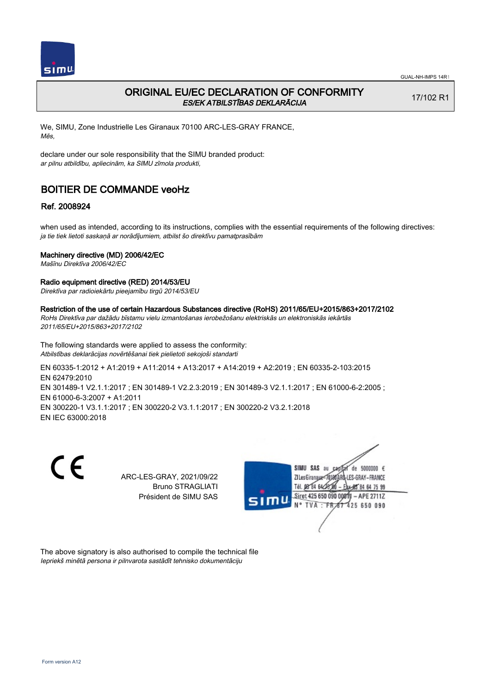

## ORIGINAL EU/EC DECLARATION OF CONFORMITY ES/EK ATBILSTĪBAS DEKLARĀCIJA

17/102 R1

We, SIMU, Zone Industrielle Les Giranaux 70100 ARC-LES-GRAY FRANCE, Mēs,

declare under our sole responsibility that the SIMU branded product: ar pilnu atbildību, apliecinām, ka SIMU zīmola produkti,

# BOITIER DE COMMANDE veoHz

### Ref. 2008924

when used as intended, according to its instructions, complies with the essential requirements of the following directives: ja tie tiek lietoti saskaņā ar norādījumiem, atbilst šo direktīvu pamatprasībām

### Machinery directive (MD) 2006/42/EC

Mašīnu Direktīva 2006/42/EC

#### Radio equipment directive (RED) 2014/53/EU

Direktīva par radioiekārtu pieejamību tirgū 2014/53/EU

#### Restriction of the use of certain Hazardous Substances directive (RoHS) 2011/65/EU+2015/863+2017/2102

RoHs Direktīva par dažādu bīstamu vielu izmantošanas ierobežošanu elektriskās un elektroniskās iekārtās 2011/65/EU+2015/863+2017/2102

The following standards were applied to assess the conformity: Atbilstības deklarācijas novērtēšanai tiek pielietoti sekojoši standarti

EN 60335‑1:2012 + A1:2019 + A11:2014 + A13:2017 + A14:2019 + A2:2019 ; EN 60335‑2‑103:2015 EN 62479:2010 EN 301489‑1 V2.1.1:2017 ; EN 301489‑1 V2.2.3:2019 ; EN 301489‑3 V2.1.1:2017 ; EN 61000‑6‑2:2005 ; EN 61000‑6‑3:2007 + A1:2011 EN 300220‑1 V3.1.1:2017 ; EN 300220‑2 V3.1.1:2017 ; EN 300220‑2 V3.2.1:2018 EN IEC 63000:2018

 $\epsilon$ 

ARC-LES-GRAY, 2021/09/22 Bruno STRAGLIATI Président de SIMU SAS



The above signatory is also authorised to compile the technical file Iepriekš minētā persona ir pilnvarota sastādīt tehnisko dokumentāciju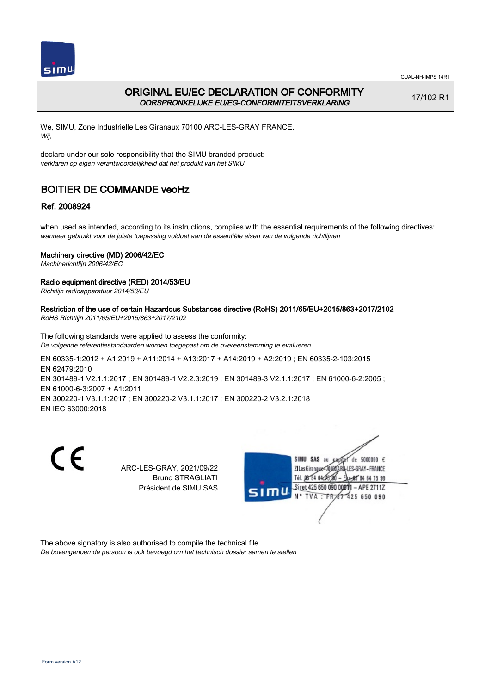

GUAL-NH-IMPS 14R1

# ORIGINAL EU/EC DECLARATION OF CONFORMITY OORSPRONKELIJKE EU/EG-CONFORMITEITSVERKLARING

17/102 R1

We, SIMU, Zone Industrielle Les Giranaux 70100 ARC-LES-GRAY FRANCE, Wij,

declare under our sole responsibility that the SIMU branded product: verklaren op eigen verantwoordelijkheid dat het produkt van het SIMU

# BOITIER DE COMMANDE veoHz

## Ref. 2008924

when used as intended, according to its instructions, complies with the essential requirements of the following directives: wanneer gebruikt voor de juiste toepassing voldoet aan de essentiële eisen van de volgende richtlijnen

## Machinery directive (MD) 2006/42/EC

Machinerichtlijn 2006/42/EC

## Radio equipment directive (RED) 2014/53/EU

Richtlijn radioapparatuur 2014/53/EU

Restriction of the use of certain Hazardous Substances directive (RoHS) 2011/65/EU+2015/863+2017/2102 RoHS Richtlijn 2011/65/EU+2015/863+2017/2102

The following standards were applied to assess the conformity: De volgende referentiestandaarden worden toegepast om de overeenstemming te evalueren

EN 60335‑1:2012 + A1:2019 + A11:2014 + A13:2017 + A14:2019 + A2:2019 ; EN 60335‑2‑103:2015 EN 62479:2010 EN 301489-1 V2.1.1:2017 ; EN 301489-1 V2.2.3:2019 ; EN 301489-3 V2.1.1:2017 ; EN 61000-6-2:2005 ; EN 61000‑6‑3:2007 + A1:2011 EN 300220‑1 V3.1.1:2017 ; EN 300220‑2 V3.1.1:2017 ; EN 300220‑2 V3.2.1:2018 EN IEC 63000:2018

C E

ARC-LES-GRAY, 2021/09/22 Bruno STRAGLIATI Président de SIMU SAS



The above signatory is also authorised to compile the technical file De bovengenoemde persoon is ook bevoegd om het technisch dossier samen te stellen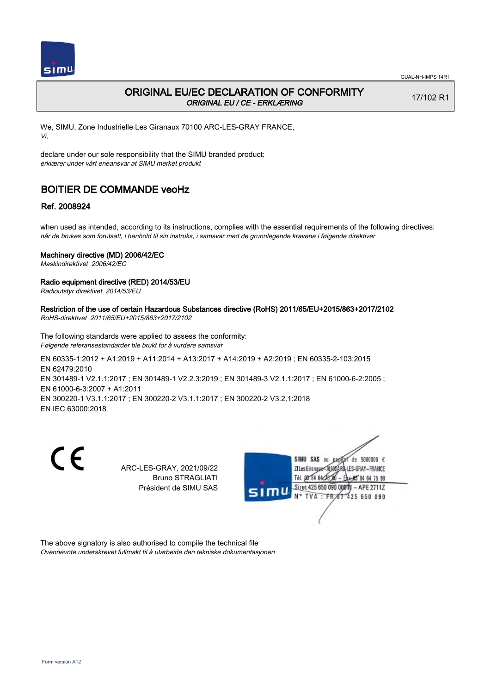

# ORIGINAL EU/EC DECLARATION OF CONFORMITY ORIGINAL EU / CE - ERKLÆRING

17/102 R1

We, SIMU, Zone Industrielle Les Giranaux 70100 ARC-LES-GRAY FRANCE, Vi,

declare under our sole responsibility that the SIMU branded product: erklærer under vårt eneansvar at SIMU merket produkt

# BOITIER DE COMMANDE veoHz

## Ref. 2008924

when used as intended, according to its instructions, complies with the essential requirements of the following directives: når de brukes som forutsatt, i henhold til sin instruks, i samsvar med de grunnlegende kravene i følgende direktiver

### Machinery directive (MD) 2006/42/EC

Maskindirektivet 2006/42/EC

### Radio equipment directive (RED) 2014/53/EU

Radioutstyr direktivet 2014/53/EU

Restriction of the use of certain Hazardous Substances directive (RoHS) 2011/65/EU+2015/863+2017/2102 RoHS-direktivet 2011/65/EU+2015/863+2017/2102

The following standards were applied to assess the conformity: Følgende referansestandarder ble brukt for å vurdere samsvar

EN 60335‑1:2012 + A1:2019 + A11:2014 + A13:2017 + A14:2019 + A2:2019 ; EN 60335‑2‑103:2015 EN 62479:2010 EN 301489-1 V2.1.1:2017 ; EN 301489-1 V2.2.3:2019 ; EN 301489-3 V2.1.1:2017 ; EN 61000-6-2:2005 ; EN 61000‑6‑3:2007 + A1:2011 EN 300220‑1 V3.1.1:2017 ; EN 300220‑2 V3.1.1:2017 ; EN 300220‑2 V3.2.1:2018 EN IEC 63000:2018

C E

ARC-LES-GRAY, 2021/09/22 Bruno STRAGLIATI Président de SIMU SAS



The above signatory is also authorised to compile the technical file Ovennevnte underskrevet fullmakt til å utarbeide den tekniske dokumentasjonen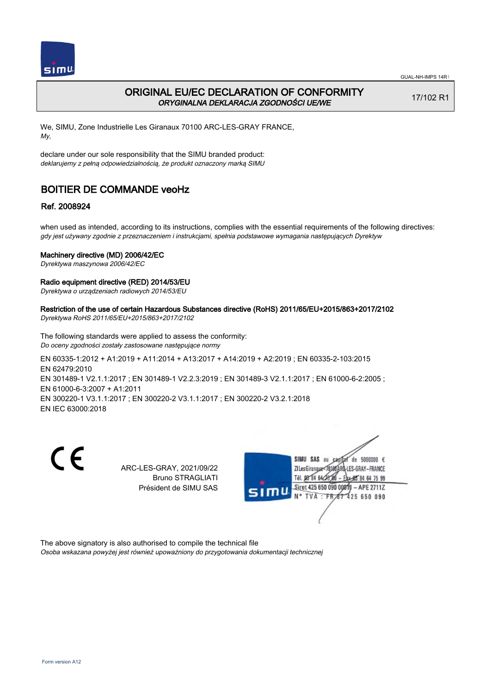

# ORIGINAL EU/EC DECLARATION OF CONFORMITY ORYGINALNA DEKLARACJA ZGODNOŚCI UE/WE

17/102 R1

We, SIMU, Zone Industrielle Les Giranaux 70100 ARC-LES-GRAY FRANCE, My,

declare under our sole responsibility that the SIMU branded product: deklarujemy z pełną odpowiedzialnością, że produkt oznaczony marką SIMU

# BOITIER DE COMMANDE veoHz

## Ref. 2008924

when used as intended, according to its instructions, complies with the essential requirements of the following directives: gdy jest używany zgodnie z przeznaczeniem i instrukcjami, spełnia podstawowe wymagania następujących Dyrektyw

### Machinery directive (MD) 2006/42/EC

Dyrektywa maszynowa 2006/42/EC

### Radio equipment directive (RED) 2014/53/EU

Dyrektywa o urządzeniach radiowych 2014/53/EU

#### Restriction of the use of certain Hazardous Substances directive (RoHS) 2011/65/EU+2015/863+2017/2102 Dyrektywa RoHS 2011/65/EU+2015/863+2017/2102

The following standards were applied to assess the conformity: Do oceny zgodności zostały zastosowane następujące normy

EN 60335‑1:2012 + A1:2019 + A11:2014 + A13:2017 + A14:2019 + A2:2019 ; EN 60335‑2‑103:2015 EN 62479:2010 EN 301489-1 V2.1.1:2017 ; EN 301489-1 V2.2.3:2019 ; EN 301489-3 V2.1.1:2017 ; EN 61000-6-2:2005 ; EN 61000‑6‑3:2007 + A1:2011 EN 300220‑1 V3.1.1:2017 ; EN 300220‑2 V3.1.1:2017 ; EN 300220‑2 V3.2.1:2018 EN IEC 63000:2018

C E

ARC-LES-GRAY, 2021/09/22 Bruno STRAGLIATI Président de SIMU SAS



The above signatory is also authorised to compile the technical file Osoba wskazana powyżej jest również upoważniony do przygotowania dokumentacji technicznej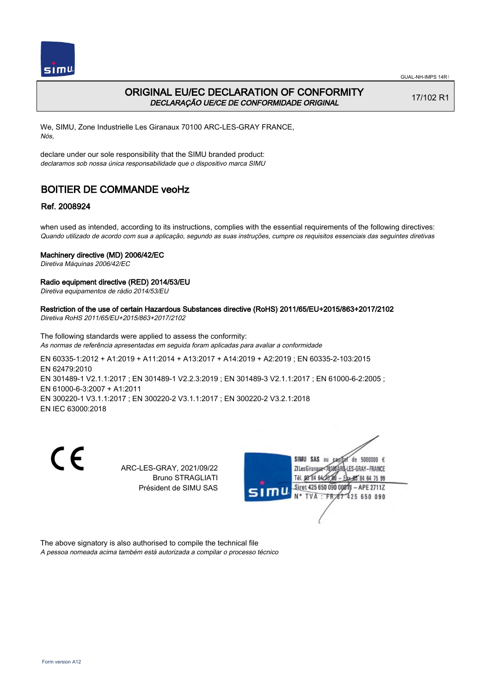

# ORIGINAL EU/EC DECLARATION OF CONFORMITY DECLARAÇÃO UE/CE DE CONFORMIDADE ORIGINAL

17/102 R1

We, SIMU, Zone Industrielle Les Giranaux 70100 ARC-LES-GRAY FRANCE, Nós,

declare under our sole responsibility that the SIMU branded product: declaramos sob nossa única responsabilidade que o dispositivo marca SIMU

# BOITIER DE COMMANDE veoHz

## Ref. 2008924

when used as intended, according to its instructions, complies with the essential requirements of the following directives: Quando utilizado de acordo com sua a aplicação, segundo as suas instruções, cumpre os requisitos essenciais das seguintes diretivas

### Machinery directive (MD) 2006/42/EC

Diretiva Máquinas 2006/42/EC

### Radio equipment directive (RED) 2014/53/EU

Diretiva equipamentos de rádio 2014/53/EU

#### Restriction of the use of certain Hazardous Substances directive (RoHS) 2011/65/EU+2015/863+2017/2102 Diretiva RoHS 2011/65/EU+2015/863+2017/2102

The following standards were applied to assess the conformity: As normas de referência apresentadas em seguida foram aplicadas para avaliar a conformidade

EN 60335‑1:2012 + A1:2019 + A11:2014 + A13:2017 + A14:2019 + A2:2019 ; EN 60335‑2‑103:2015 EN 62479:2010 EN 301489-1 V2.1.1:2017 ; EN 301489-1 V2.2.3:2019 ; EN 301489-3 V2.1.1:2017 ; EN 61000-6-2:2005 ; EN 61000‑6‑3:2007 + A1:2011 EN 300220‑1 V3.1.1:2017 ; EN 300220‑2 V3.1.1:2017 ; EN 300220‑2 V3.2.1:2018 EN IEC 63000:2018



ARC-LES-GRAY, 2021/09/22 Bruno STRAGLIATI Président de SIMU SAS



The above signatory is also authorised to compile the technical file A pessoa nomeada acima também está autorizada a compilar o processo técnico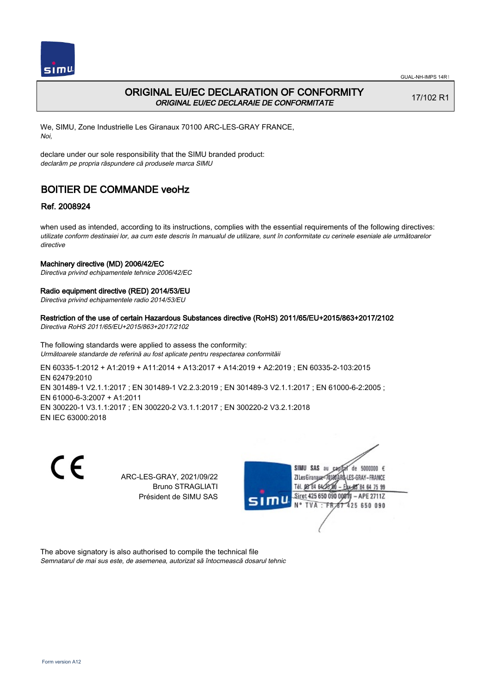

# ORIGINAL EU/EC DECLARATION OF CONFORMITY ORIGINAL EU/EC DECLARAIE DE CONFORMITATE

17/102 R1

We, SIMU, Zone Industrielle Les Giranaux 70100 ARC-LES-GRAY FRANCE, Noi,

declare under our sole responsibility that the SIMU branded product: declarăm pe propria răspundere că produsele marca SIMU

# BOITIER DE COMMANDE veoHz

## Ref. 2008924

when used as intended, according to its instructions, complies with the essential requirements of the following directives: utilizate conform destinaiei lor, aa cum este descris în manualul de utilizare, sunt în conformitate cu cerinele eseniale ale următoarelor directive

### Machinery directive (MD) 2006/42/EC

Directiva privind echipamentele tehnice 2006/42/EC

### Radio equipment directive (RED) 2014/53/EU

Directiva privind echipamentele radio 2014/53/EU

#### Restriction of the use of certain Hazardous Substances directive (RoHS) 2011/65/EU+2015/863+2017/2102 Directiva RoHS 2011/65/EU+2015/863+2017/2102

The following standards were applied to assess the conformity: Următoarele standarde de referină au fost aplicate pentru respectarea conformităii

EN 60335‑1:2012 + A1:2019 + A11:2014 + A13:2017 + A14:2019 + A2:2019 ; EN 60335‑2‑103:2015 EN 62479:2010 EN 301489‑1 V2.1.1:2017 ; EN 301489‑1 V2.2.3:2019 ; EN 301489‑3 V2.1.1:2017 ; EN 61000‑6‑2:2005 ; EN 61000‑6‑3:2007 + A1:2011 EN 300220‑1 V3.1.1:2017 ; EN 300220‑2 V3.1.1:2017 ; EN 300220‑2 V3.2.1:2018 EN IEC 63000:2018

 $\epsilon$ 

ARC-LES-GRAY, 2021/09/22 Bruno STRAGLIATI Président de SIMU SAS



The above signatory is also authorised to compile the technical file Semnatarul de mai sus este, de asemenea, autorizat să întocmească dosarul tehnic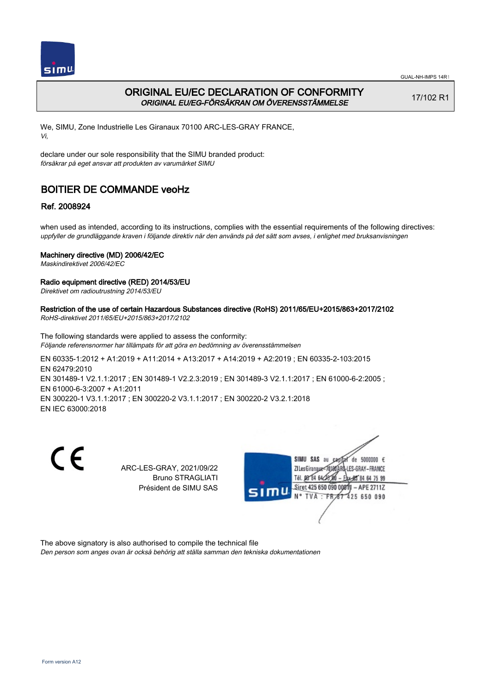

GUAL-NH-IMPS 14R1

# ORIGINAL EU/EC DECLARATION OF CONFORMITY ORIGINAL EU/EG-FÖRSÄKRAN OM ÖVERENSSTÄMMELSE

17/102 R1

We, SIMU, Zone Industrielle Les Giranaux 70100 ARC-LES-GRAY FRANCE, Vi,

declare under our sole responsibility that the SIMU branded product: försäkrar på eget ansvar att produkten av varumärket SIMU

# BOITIER DE COMMANDE veoHz

## Ref. 2008924

when used as intended, according to its instructions, complies with the essential requirements of the following directives: uppfyller de grundläggande kraven i följande direktiv när den används på det sätt som avses, i enlighet med bruksanvisningen

## Machinery directive (MD) 2006/42/EC

Maskindirektivet 2006/42/EC

## Radio equipment directive (RED) 2014/53/EU

Direktivet om radioutrustning 2014/53/EU

Restriction of the use of certain Hazardous Substances directive (RoHS) 2011/65/EU+2015/863+2017/2102 RoHS-direktivet 2011/65/EU+2015/863+2017/2102

The following standards were applied to assess the conformity: Följande referensnormer har tillämpats för att göra en bedömning av överensstämmelsen

EN 60335‑1:2012 + A1:2019 + A11:2014 + A13:2017 + A14:2019 + A2:2019 ; EN 60335‑2‑103:2015 EN 62479:2010 EN 301489-1 V2.1.1:2017 ; EN 301489-1 V2.2.3:2019 ; EN 301489-3 V2.1.1:2017 ; EN 61000-6-2:2005 ; EN 61000‑6‑3:2007 + A1:2011 EN 300220‑1 V3.1.1:2017 ; EN 300220‑2 V3.1.1:2017 ; EN 300220‑2 V3.2.1:2018 EN IEC 63000:2018

C E

ARC-LES-GRAY, 2021/09/22 Bruno STRAGLIATI Président de SIMU SAS



The above signatory is also authorised to compile the technical file Den person som anges ovan är också behörig att ställa samman den tekniska dokumentationen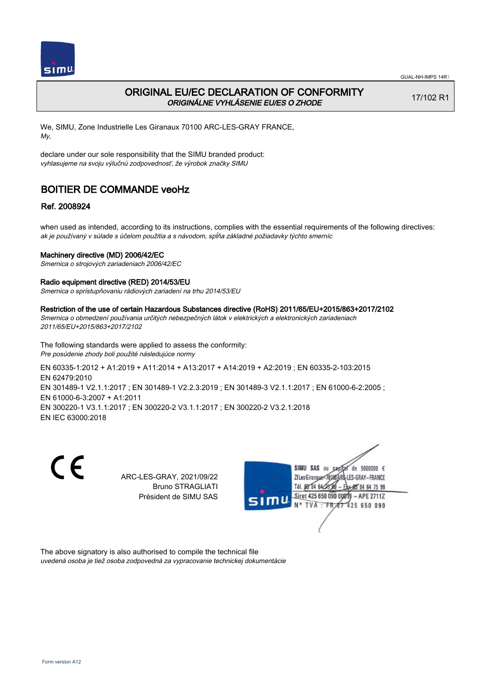

## ORIGINAL EU/EC DECLARATION OF CONFORMITY ORIGINÁLNE VYHLÁSENIE EU/ES O ZHODE

17/102 R1

We, SIMU, Zone Industrielle Les Giranaux 70100 ARC-LES-GRAY FRANCE, My,

declare under our sole responsibility that the SIMU branded product: vyhlasujeme na svoju výlučnú zodpovednosť, že výrobok značky SIMU

# BOITIER DE COMMANDE veoHz

## Ref. 2008924

when used as intended, according to its instructions, complies with the essential requirements of the following directives: ak je používaný v súlade s účelom použitia a s návodom, spĺňa základné požiadavky týchto smerníc

### Machinery directive (MD) 2006/42/EC

Smernica o strojových zariadeniach 2006/42/EC

### Radio equipment directive (RED) 2014/53/EU

Smernica o sprístupňovaniu rádiových zariadení na trhu 2014/53/EU

#### Restriction of the use of certain Hazardous Substances directive (RoHS) 2011/65/EU+2015/863+2017/2102

Smernica o obmedzení používania určitých nebezpečných látok v elektrických a elektronických zariadeniach 2011/65/EU+2015/863+2017/2102

The following standards were applied to assess the conformity: Pre posúdenie zhody boli použité následujúce normy

EN 60335‑1:2012 + A1:2019 + A11:2014 + A13:2017 + A14:2019 + A2:2019 ; EN 60335‑2‑103:2015 EN 62479:2010 EN 301489‑1 V2.1.1:2017 ; EN 301489‑1 V2.2.3:2019 ; EN 301489‑3 V2.1.1:2017 ; EN 61000‑6‑2:2005 ; EN 61000‑6‑3:2007 + A1:2011 EN 300220‑1 V3.1.1:2017 ; EN 300220‑2 V3.1.1:2017 ; EN 300220‑2 V3.2.1:2018 EN IEC 63000:2018

 $\epsilon$ 

ARC-LES-GRAY, 2021/09/22 Bruno STRAGLIATI Président de SIMU SAS



The above signatory is also authorised to compile the technical file uvedená osoba je tiež osoba zodpovedná za vypracovanie technickej dokumentácie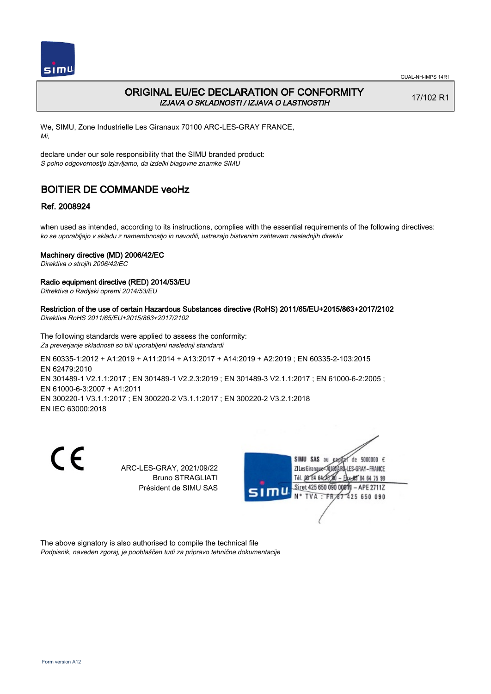

# ORIGINAL EU/EC DECLARATION OF CONFORMITY IZJAVA O SKLADNOSTI / IZJAVA O LASTNOSTIH

17/102 R1

We, SIMU, Zone Industrielle Les Giranaux 70100 ARC-LES-GRAY FRANCE, Mi,

declare under our sole responsibility that the SIMU branded product: S polno odgovornostjo izjavljamo, da izdelki blagovne znamke SIMU

# BOITIER DE COMMANDE veoHz

## Ref. 2008924

when used as intended, according to its instructions, complies with the essential requirements of the following directives: ko se uporabljajo v skladu z namembnostjo in navodili, ustrezajo bistvenim zahtevam naslednjih direktiv

### Machinery directive (MD) 2006/42/EC

Direktiva o strojih 2006/42/EC

### Radio equipment directive (RED) 2014/53/EU

Ditrektiva o Radijski opremi 2014/53/EU

Restriction of the use of certain Hazardous Substances directive (RoHS) 2011/65/EU+2015/863+2017/2102 Direktiva RoHS 2011/65/EU+2015/863+2017/2102

The following standards were applied to assess the conformity: Za preverjanje skladnosti so bili uporabljeni naslednji standardi

EN 60335‑1:2012 + A1:2019 + A11:2014 + A13:2017 + A14:2019 + A2:2019 ; EN 60335‑2‑103:2015 EN 62479:2010 EN 301489-1 V2.1.1:2017 ; EN 301489-1 V2.2.3:2019 ; EN 301489-3 V2.1.1:2017 ; EN 61000-6-2:2005 ; EN 61000‑6‑3:2007 + A1:2011 EN 300220‑1 V3.1.1:2017 ; EN 300220‑2 V3.1.1:2017 ; EN 300220‑2 V3.2.1:2018 EN IEC 63000:2018

C E

ARC-LES-GRAY, 2021/09/22 Bruno STRAGLIATI Président de SIMU SAS



The above signatory is also authorised to compile the technical file Podpisnik, naveden zgoraj, je pooblaščen tudi za pripravo tehnične dokumentacije